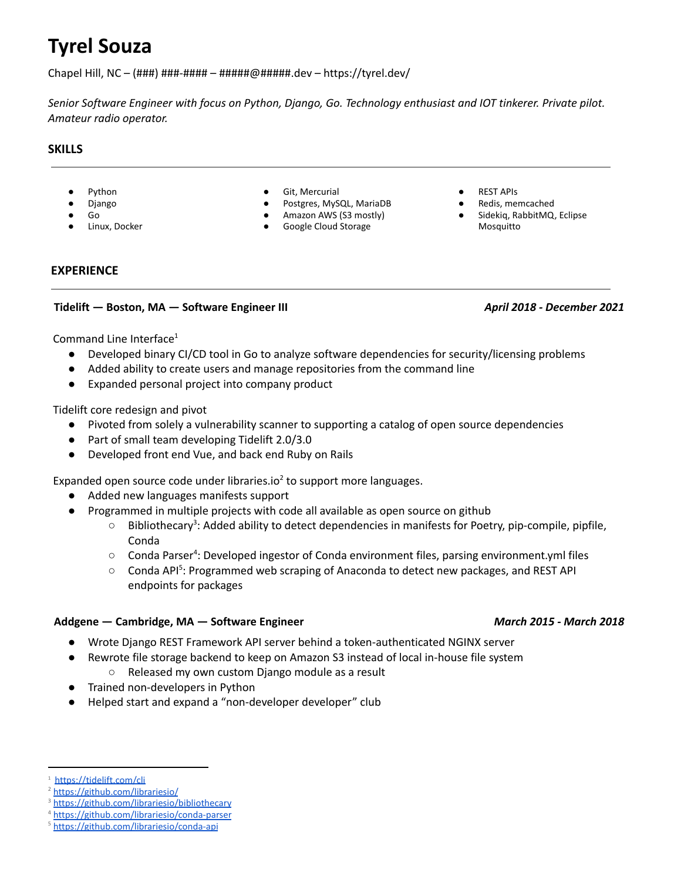# **Tyrel Souza**

Chapel Hill, NC – (###) ###-#### – ######@#####.dev – https://tyrel.dev/

Senior Software Engineer with focus on Python, Django, Go. Technology enthusiast and IOT tinkerer. Private pilot. *Amateur radio operator.*

# **SKILLS**

- Python
- Django
- Go
- Linux, Docker
- Git, Mercurial
- Postgres, MySQL, MariaDB
- Amazon AWS (S3 mostly)
- Google Cloud Storage
- **REST APIS**
- Redis, memcached
- Sidekiq, RabbitMQ, Eclipse Mosquitto

# **EXPERIENCE**

# **Tidelift — Boston, MA — Software Engineer III** *April 2018 - December 2021*

Command Line Interface<sup>1</sup>

- Developed binary CI/CD tool in Go to analyze software dependencies for security/licensing problems
- Added ability to create users and manage repositories from the command line
- Expanded personal project into company product

Tidelift core redesign and pivot

- Pivoted from solely a vulnerability scanner to supporting a catalog of open source dependencies
- Part of small team developing Tidelift 2.0/3.0
- Developed front end Vue, and back end Ruby on Rails

Expanded open source code under libraries.io<sup>2</sup> to support more languages.

- Added new languages manifests support
- Programmed in multiple projects with code all available as open source on github
	- $\circ$  Bibliothecary<sup>3</sup>: Added ability to detect dependencies in manifests for Poetry, pip-compile, pipfile, Conda
	- $\circ$  Conda Parser<sup>4</sup>: Developed ingestor of Conda environment files, parsing environment.yml files
	- Conda API<sup>5</sup>: Programmed web scraping of Anaconda to detect new packages, and REST API endpoints for packages

#### **Addgene — Cambridge, MA — Software Engineer** *March 2015 - March 2018*

- Wrote Django REST Framework API server behind a token-authenticated NGINX server
- Rewrote file storage backend to keep on Amazon S3 instead of local in-house file system
	- Released my own custom Django module as a result
- Trained non-developers in Python
- Helped start and expand a "non-developer developer" club

<sup>&</sup>lt;sup>1</sup> <https://tidelift.com/cli>

<https://github.com/librariesio/>

<https://github.com/librariesio/bibliothecary>

<https://github.com/librariesio/conda-parser>

<sup>5</sup> <https://github.com/librariesio/conda-api>